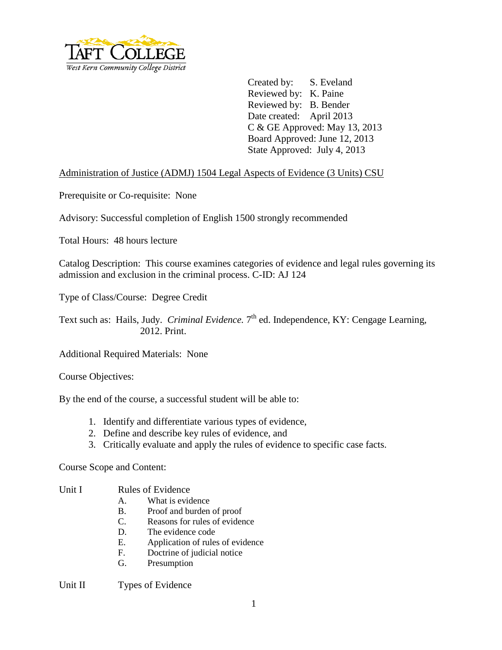

Created by: S. Eveland Reviewed by: K. Paine Reviewed by: B. Bender Date created: April 2013 C & GE Approved: May 13, 2013 Board Approved: June 12, 2013 State Approved: July 4, 2013

## Administration of Justice (ADMJ) 1504 Legal Aspects of Evidence (3 Units) CSU

Prerequisite or Co-requisite: None

Advisory: Successful completion of English 1500 strongly recommended

Total Hours: 48 hours lecture

Catalog Description: This course examines categories of evidence and legal rules governing its admission and exclusion in the criminal process. C-ID: AJ 124

Type of Class/Course: Degree Credit

Text such as: Hails, Judy. *Criminal Evidence*. 7<sup>th</sup> ed. Independence, KY: Cengage Learning, 2012. Print.

Additional Required Materials: None

Course Objectives:

By the end of the course, a successful student will be able to:

- 1. Identify and differentiate various types of evidence,
- 2. Define and describe key rules of evidence, and
- 3. Critically evaluate and apply the rules of evidence to specific case facts.

Course Scope and Content:

### Unit I Rules of Evidence

- A. What is evidence
- B. Proof and burden of proof
- C. Reasons for rules of evidence
- D. The evidence code
- E. Application of rules of evidence
- F. Doctrine of judicial notice
- G. Presumption

#### Unit II Types of Evidence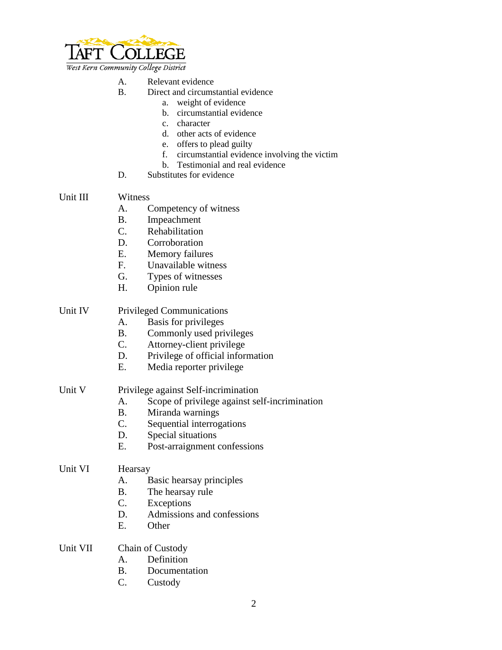

West Kern Community College District

- A. Relevant evidence<br>B. Direct and circums
	- Direct and circumstantial evidence
		- a. weight of evidence
		- b. circumstantial evidence
		- c. character
		- d. other acts of evidence
		- e. offers to plead guilty
		- f. circumstantial evidence involving the victim
		- b. Testimonial and real evidence
- D. Substitutes for evidence

### Unit III Witness

- A. Competency of witness
- B. Impeachment
- C. Rehabilitation
- D. Corroboration
- E. Memory failures
- F. Unavailable witness
- G. Types of witnesses
- H. Opinion rule

### Unit IV Privileged Communications

- A. Basis for privileges
- B. Commonly used privileges
- C. Attorney-client privilege
- D. Privilege of official information
- E. Media reporter privilege

# Unit V Privilege against Self-incrimination

- A. Scope of privilege against self-incrimination
- B. Miranda warnings
- C. Sequential interrogations
- D. Special situations
- E. Post-arraignment confessions

#### Unit VI Hearsay

- A. Basic hearsay principles
- B. The hearsay rule
- C. Exceptions
- D. Admissions and confessions
- E. Other

### Unit VII Chain of Custody

- A. Definition
- B. Documentation
- C. Custody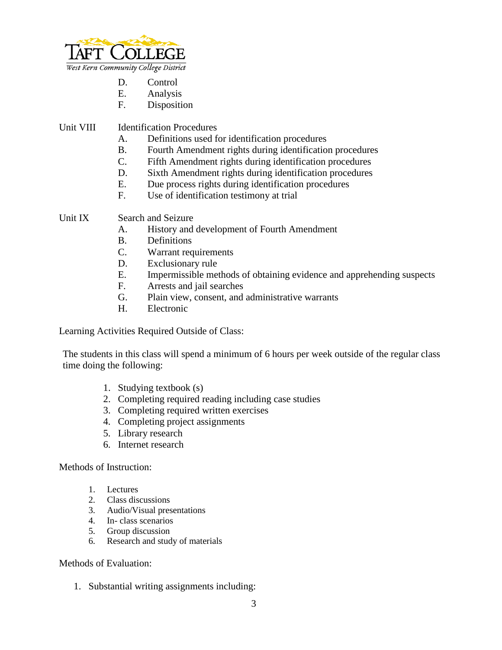

- D. Control
- E. Analysis
- F. Disposition

Unit VIII Identification Procedures

- A. Definitions used for identification procedures
- B. Fourth Amendment rights during identification procedures
- C. Fifth Amendment rights during identification procedures
- D. Sixth Amendment rights during identification procedures
- E. Due process rights during identification procedures
- F. Use of identification testimony at trial

Unit IX Search and Seizure

- A. History and development of Fourth Amendment
- B. Definitions
- C. Warrant requirements
- D. Exclusionary rule
- E. Impermissible methods of obtaining evidence and apprehending suspects
- F. Arrests and jail searches
- G. Plain view, consent, and administrative warrants
- H. Electronic

Learning Activities Required Outside of Class:

The students in this class will spend a minimum of 6 hours per week outside of the regular class time doing the following:

- 1. Studying textbook (s)
- 2. Completing required reading including case studies
- 3. Completing required written exercises
- 4. Completing project assignments
- 5. Library research
- 6. Internet research

Methods of Instruction:

- 1. Lectures
- 2. Class discussions
- 3. Audio/Visual presentations
- 4. In- class scenarios
- 5. Group discussion
- 6. Research and study of materials

Methods of Evaluation:

1. Substantial writing assignments including: